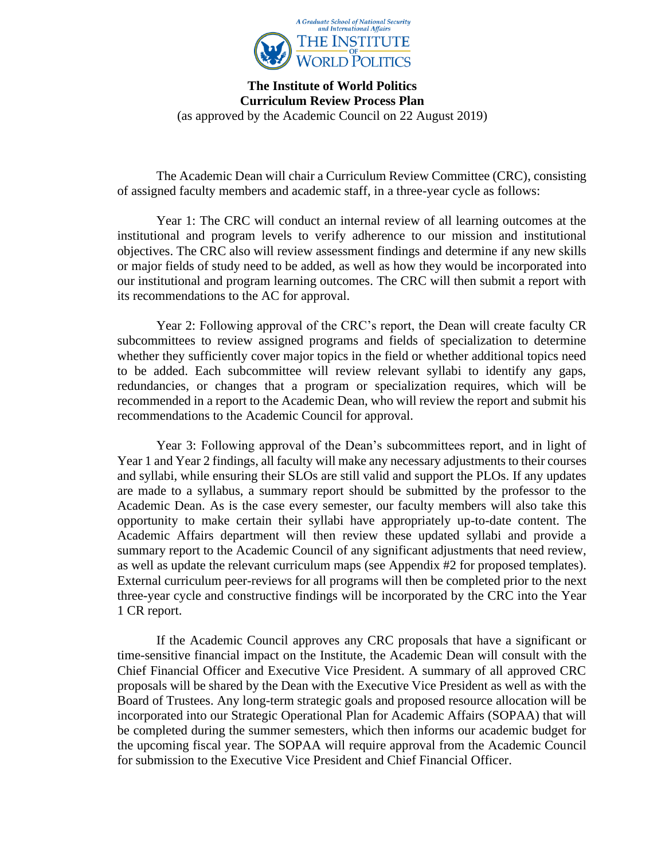

**The Institute of World Politics Curriculum Review Process Plan** (as approved by the Academic Council on 22 August 2019)

The Academic Dean will chair a Curriculum Review Committee (CRC), consisting of assigned faculty members and academic staff, in a three-year cycle as follows:

Year 1: The CRC will conduct an internal review of all learning outcomes at the institutional and program levels to verify adherence to our mission and institutional objectives. The CRC also will review assessment findings and determine if any new skills or major fields of study need to be added, as well as how they would be incorporated into our institutional and program learning outcomes. The CRC will then submit a report with its recommendations to the AC for approval.

Year 2: Following approval of the CRC's report, the Dean will create faculty CR subcommittees to review assigned programs and fields of specialization to determine whether they sufficiently cover major topics in the field or whether additional topics need to be added. Each subcommittee will review relevant syllabi to identify any gaps, redundancies, or changes that a program or specialization requires, which will be recommended in a report to the Academic Dean, who will review the report and submit his recommendations to the Academic Council for approval.

Year 3: Following approval of the Dean's subcommittees report, and in light of Year 1 and Year 2 findings, all faculty will make any necessary adjustments to their courses and syllabi, while ensuring their SLOs are still valid and support the PLOs. If any updates are made to a syllabus, a summary report should be submitted by the professor to the Academic Dean. As is the case every semester, our faculty members will also take this opportunity to make certain their syllabi have appropriately up-to-date content. The Academic Affairs department will then review these updated syllabi and provide a summary report to the Academic Council of any significant adjustments that need review, as well as update the relevant curriculum maps (see Appendix #2 for proposed templates). External curriculum peer-reviews for all programs will then be completed prior to the next three-year cycle and constructive findings will be incorporated by the CRC into the Year 1 CR report.

If the Academic Council approves any CRC proposals that have a significant or time-sensitive financial impact on the Institute, the Academic Dean will consult with the Chief Financial Officer and Executive Vice President. A summary of all approved CRC proposals will be shared by the Dean with the Executive Vice President as well as with the Board of Trustees. Any long-term strategic goals and proposed resource allocation will be incorporated into our Strategic Operational Plan for Academic Affairs (SOPAA) that will be completed during the summer semesters, which then informs our academic budget for the upcoming fiscal year. The SOPAA will require approval from the Academic Council for submission to the Executive Vice President and Chief Financial Officer.